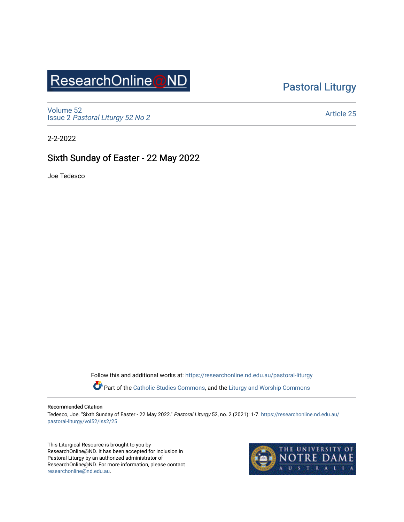# ResearchOnline@ND

### [Pastoral Liturgy](https://researchonline.nd.edu.au/pastoral-liturgy)

[Volume 52](https://researchonline.nd.edu.au/pastoral-liturgy/vol52) Issue 2 [Pastoral Liturgy 52 No 2](https://researchonline.nd.edu.au/pastoral-liturgy/vol52/iss2)

[Article 25](https://researchonline.nd.edu.au/pastoral-liturgy/vol52/iss2/25) 

2-2-2022

### Sixth Sunday of Easter - 22 May 2022

Joe Tedesco

Follow this and additional works at: [https://researchonline.nd.edu.au/pastoral-liturgy](https://researchonline.nd.edu.au/pastoral-liturgy?utm_source=researchonline.nd.edu.au%2Fpastoral-liturgy%2Fvol52%2Fiss2%2F25&utm_medium=PDF&utm_campaign=PDFCoverPages)

Part of the [Catholic Studies Commons,](http://network.bepress.com/hgg/discipline/1294?utm_source=researchonline.nd.edu.au%2Fpastoral-liturgy%2Fvol52%2Fiss2%2F25&utm_medium=PDF&utm_campaign=PDFCoverPages) and the Liturgy and Worship Commons

#### Recommended Citation

Tedesco, Joe. "Sixth Sunday of Easter - 22 May 2022." Pastoral Liturgy 52, no. 2 (2021): 1-7. [https://researchonline.nd.edu.au/](https://researchonline.nd.edu.au/pastoral-liturgy/vol52/iss2/25?utm_source=researchonline.nd.edu.au%2Fpastoral-liturgy%2Fvol52%2Fiss2%2F25&utm_medium=PDF&utm_campaign=PDFCoverPages) [pastoral-liturgy/vol52/iss2/25](https://researchonline.nd.edu.au/pastoral-liturgy/vol52/iss2/25?utm_source=researchonline.nd.edu.au%2Fpastoral-liturgy%2Fvol52%2Fiss2%2F25&utm_medium=PDF&utm_campaign=PDFCoverPages) 

This Liturgical Resource is brought to you by ResearchOnline@ND. It has been accepted for inclusion in Pastoral Liturgy by an authorized administrator of ResearchOnline@ND. For more information, please contact [researchonline@nd.edu.au.](mailto:researchonline@nd.edu.au)

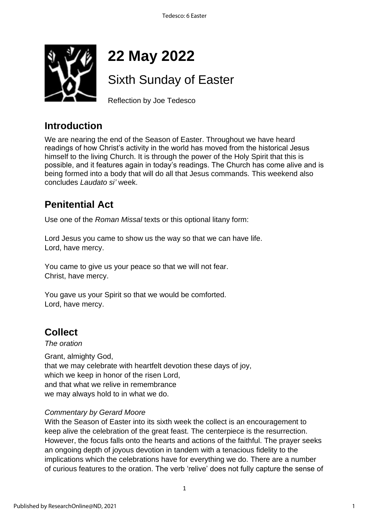

# **22 May 2022**

# Sixth Sunday of Easter

Reflection by Joe Tedesco

### **Introduction**

We are nearing the end of the Season of Easter. Throughout we have heard readings of how Christ's activity in the world has moved from the historical Jesus himself to the living Church. It is through the power of the Holy Spirit that this is possible, and it features again in today's readings. The Church has come alive and is being formed into a body that will do all that Jesus commands. This weekend also concludes *Laudato si'* week.

### **Penitential Act**

Use one of the *Roman Missal* texts or this optional litany form:

Lord Jesus you came to show us the way so that we can have life. Lord, have mercy.

You came to give us your peace so that we will not fear. Christ, have mercy.

You gave us your Spirit so that we would be comforted. Lord, have mercy.

### **Collect**

#### *The oration*

Grant, almighty God, that we may celebrate with heartfelt devotion these days of joy, which we keep in honor of the risen Lord, and that what we relive in remembrance we may always hold to in what we do.

### *Commentary by Gerard Moore*

With the Season of Easter into its sixth week the collect is an encouragement to keep alive the celebration of the great feast. The centerpiece is the resurrection. However, the focus falls onto the hearts and actions of the faithful. The prayer seeks an ongoing depth of joyous devotion in tandem with a tenacious fidelity to the implications which the celebrations have for everything we do. There are a number of curious features to the oration. The verb 'relive' does not fully capture the sense of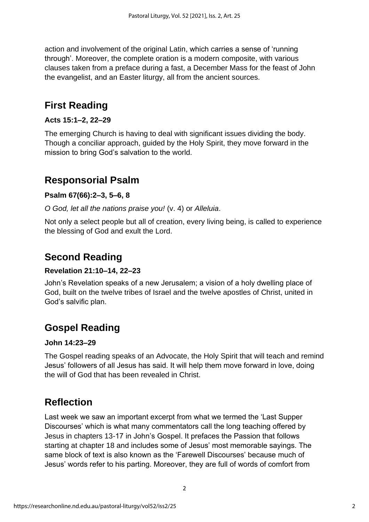action and involvement of the original Latin, which carries a sense of 'running through'. Moreover, the complete oration is a modern composite, with various clauses taken from a preface during a fast, a December Mass for the feast of John the evangelist, and an Easter liturgy, all from the ancient sources.

### **First Reading**

#### **Acts 15:1–2, 22–29**

The emerging Church is having to deal with significant issues dividing the body. Though a conciliar approach, guided by the Holy Spirit, they move forward in the mission to bring God's salvation to the world.

### **Responsorial Psalm**

#### **Psalm 67(66):2–3, 5–6, 8**

*O God, let all the nations praise you!* (v. 4) or *Alleluia*.

Not only a select people but all of creation, every living being, is called to experience the blessing of God and exult the Lord.

### **Second Reading**

#### **Revelation 21:10–14, 22–23**

John's Revelation speaks of a new Jerusalem; a vision of a holy dwelling place of God, built on the twelve tribes of Israel and the twelve apostles of Christ, united in God's salvific plan.

### **Gospel Reading**

#### **John 14:23–29**

The Gospel reading speaks of an Advocate, the Holy Spirit that will teach and remind Jesus' followers of all Jesus has said. It will help them move forward in love, doing the will of God that has been revealed in Christ.

### **Reflection**

Last week we saw an important excerpt from what we termed the 'Last Supper Discourses' which is what many commentators call the long teaching offered by Jesus in chapters 13-17 in John's Gospel. It prefaces the Passion that follows starting at chapter 18 and includes some of Jesus' most memorable sayings. The same block of text is also known as the 'Farewell Discourses' because much of Jesus' words refer to his parting. Moreover, they are full of words of comfort from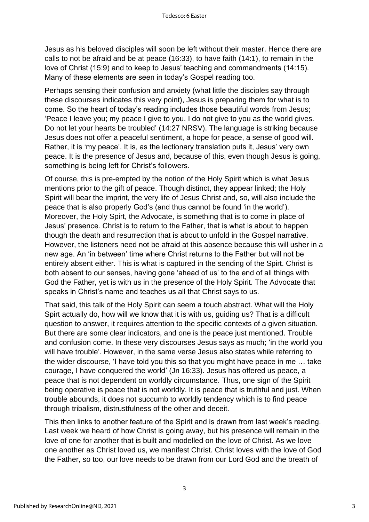Jesus as his beloved disciples will soon be left without their master. Hence there are calls to not be afraid and be at peace (16:33), to have faith (14:1), to remain in the love of Christ (15:9) and to keep to Jesus' teaching and commandments (14:15). Many of these elements are seen in today's Gospel reading too.

Perhaps sensing their confusion and anxiety (what little the disciples say through these discourses indicates this very point), Jesus is preparing them for what is to come. So the heart of today's reading includes those beautiful words from Jesus; 'Peace I leave you; my peace I give to you. I do not give to you as the world gives. Do not let your hearts be troubled' (14:27 NRSV). The language is striking because Jesus does not offer a peaceful sentiment, a hope for peace, a sense of good will. Rather, it is 'my peace'. It is, as the lectionary translation puts it, Jesus' very own peace. It is the presence of Jesus and, because of this, even though Jesus is going, something is being left for Christ's followers.

Of course, this is pre-empted by the notion of the Holy Spirit which is what Jesus mentions prior to the gift of peace. Though distinct, they appear linked; the Holy Spirit will bear the imprint, the very life of Jesus Christ and, so, will also include the peace that is also properly God's (and thus cannot be found 'in the world'). Moreover, the Holy Spirt, the Advocate, is something that is to come in place of Jesus' presence. Christ is to return to the Father, that is what is about to happen though the death and resurrection that is about to unfold in the Gospel narrative. However, the listeners need not be afraid at this absence because this will usher in a new age. An 'in between' time where Christ returns to the Father but will not be entirely absent either. This is what is captured in the sending of the Spirt. Christ is both absent to our senses, having gone 'ahead of us' to the end of all things with God the Father, yet is with us in the presence of the Holy Spirit. The Advocate that speaks in Christ's name and teaches us all that Christ says to us.

That said, this talk of the Holy Spirit can seem a touch abstract. What will the Holy Spirt actually do, how will we know that it is with us, guiding us? That is a difficult question to answer, it requires attention to the specific contexts of a given situation. But there are some clear indicators, and one is the peace just mentioned. Trouble and confusion come. In these very discourses Jesus says as much; 'in the world you will have trouble'. However, in the same verse Jesus also states while referring to the wider discourse, 'I have told you this so that you might have peace in me … take courage, I have conquered the world' (Jn 16:33). Jesus has offered us peace, a peace that is not dependent on worldly circumstance. Thus, one sign of the Spirit being operative is peace that is not worldly. It is peace that is truthful and just. When trouble abounds, it does not succumb to worldly tendency which is to find peace through tribalism, distrustfulness of the other and deceit.

This then links to another feature of the Spirit and is drawn from last week's reading. Last week we heard of how Christ is going away, but his presence will remain in the love of one for another that is built and modelled on the love of Christ. As we love one another as Christ loved us, we manifest Christ. Christ loves with the love of God the Father, so too, our love needs to be drawn from our Lord God and the breath of

3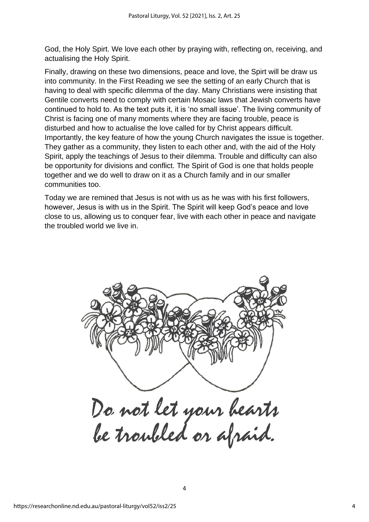God, the Holy Spirt. We love each other by praying with, reflecting on, receiving, and actualising the Holy Spirit.

Finally, drawing on these two dimensions, peace and love, the Spirt will be draw us into community. In the First Reading we see the setting of an early Church that is having to deal with specific dilemma of the day. Many Christians were insisting that Gentile converts need to comply with certain Mosaic laws that Jewish converts have continued to hold to. As the text puts it, it is 'no small issue'. The living community of Christ is facing one of many moments where they are facing trouble, peace is disturbed and how to actualise the love called for by Christ appears difficult. Importantly, the key feature of how the young Church navigates the issue is together. They gather as a community, they listen to each other and, with the aid of the Holy Spirit, apply the teachings of Jesus to their dilemma. Trouble and difficulty can also be opportunity for divisions and conflict. The Spirit of God is one that holds people together and we do well to draw on it as a Church family and in our smaller communities too.

Today we are remined that Jesus is not with us as he was with his first followers, however, Jesus is with us in the Spirit. The Spirit will keep God's peace and love close to us, allowing us to conquer fear, live with each other in peace and navigate the troubled world we live in.



4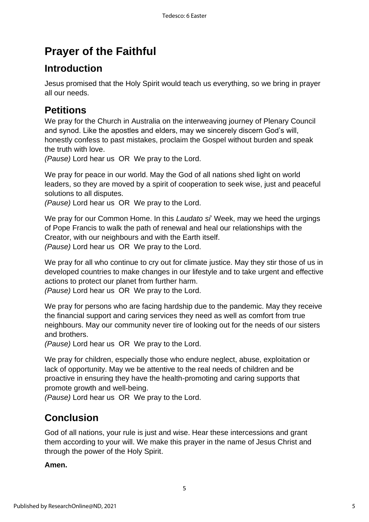## **Prayer of the Faithful**

### **Introduction**

Jesus promised that the Holy Spirit would teach us everything, so we bring in prayer all our needs.

### **Petitions**

We pray for the Church in Australia on the interweaving journey of Plenary Council and synod. Like the apostles and elders, may we sincerely discern God's will, honestly confess to past mistakes, proclaim the Gospel without burden and speak the truth with love.

*(Pause)* Lord hear us OR We pray to the Lord.

We pray for peace in our world. May the God of all nations shed light on world leaders, so they are moved by a spirit of cooperation to seek wise, just and peaceful solutions to all disputes.

*(Pause)* Lord hear us OR We pray to the Lord.

We pray for our Common Home. In this *Laudato si*' Week, may we heed the urgings of Pope Francis to walk the path of renewal and heal our relationships with the Creator, with our neighbours and with the Earth itself. *(Pause)* Lord hear us OR We pray to the Lord.

We pray for all who continue to cry out for climate justice. May they stir those of us in developed countries to make changes in our lifestyle and to take urgent and effective actions to protect our planet from further harm.

*(Pause)* Lord hear us OR We pray to the Lord.

We pray for persons who are facing hardship due to the pandemic. May they receive the financial support and caring services they need as well as comfort from true neighbours. May our community never tire of looking out for the needs of our sisters and brothers.

*(Pause)* Lord hear us OR We pray to the Lord.

We pray for children, especially those who endure neglect, abuse, exploitation or lack of opportunity. May we be attentive to the real needs of children and be proactive in ensuring they have the health-promoting and caring supports that promote growth and well-being.

*(Pause)* Lord hear us OR We pray to the Lord.

### **Conclusion**

God of all nations, your rule is just and wise. Hear these intercessions and grant them according to your will. We make this prayer in the name of Jesus Christ and through the power of the Holy Spirit.

5

#### **Amen.**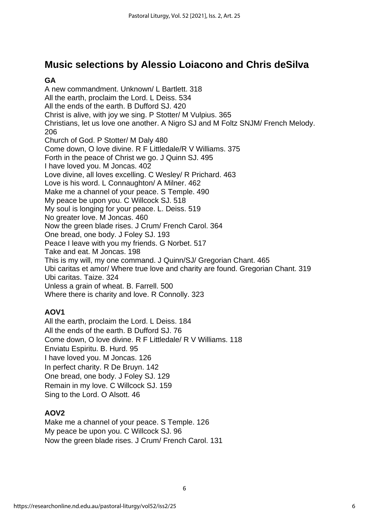### **Music selections by Alessio Loiacono and Chris deSilva**

#### **GA**

A new commandment. Unknown/ L Bartlett. 318 All the earth, proclaim the Lord. L Deiss. 534 All the ends of the earth. B Dufford SJ. 420 Christ is alive, with joy we sing. P Stotter/ M Vulpius. 365 Christians, let us love one another. A Nigro SJ and M Foltz SNJM/ French Melody. 206 Church of God. P Stotter/ M Daly 480 Come down, O love divine. R F Littledale/R V Williams. 375 Forth in the peace of Christ we go. J Quinn SJ. 495 I have loved you. M Joncas. 402 Love divine, all loves excelling. C Wesley/ R Prichard. 463 Love is his word. L Connaughton/ A Milner. 462 Make me a channel of your peace. S Temple. 490 My peace be upon you. C Willcock SJ. 518 My soul is longing for your peace. L. Deiss. 519 No greater love. M Joncas. 460 Now the green blade rises. J Crum/ French Carol. 364 One bread, one body. J Foley SJ. 193 Peace I leave with you my friends. G Norbet. 517 Take and eat. M Joncas. 198 This is my will, my one command. J Quinn/SJ/ Gregorian Chant. 465 Ubi caritas et amor/ Where true love and charity are found. Gregorian Chant. 319 Ubi caritas. Taize. 324 Unless a grain of wheat. B. Farrell. 500 Where there is charity and love. R Connolly. 323

### **AOV1**

All the earth, proclaim the Lord. L Deiss. 184 All the ends of the earth. B Dufford SJ. 76 Come down, O love divine. R F Littledale/ R V Williams. 118 Enviatu Espiritu. B. Hurd. 95 I have loved you. M Joncas. 126 In perfect charity. R De Bruyn. 142 One bread, one body. J Foley SJ. 129 Remain in my love. C Willcock SJ. 159 Sing to the Lord. O Alsott. 46

### **AOV2**

Make me a channel of your peace. S Temple. 126 My peace be upon you. C Willcock SJ. 96 Now the green blade rises. J Crum/ French Carol. 131